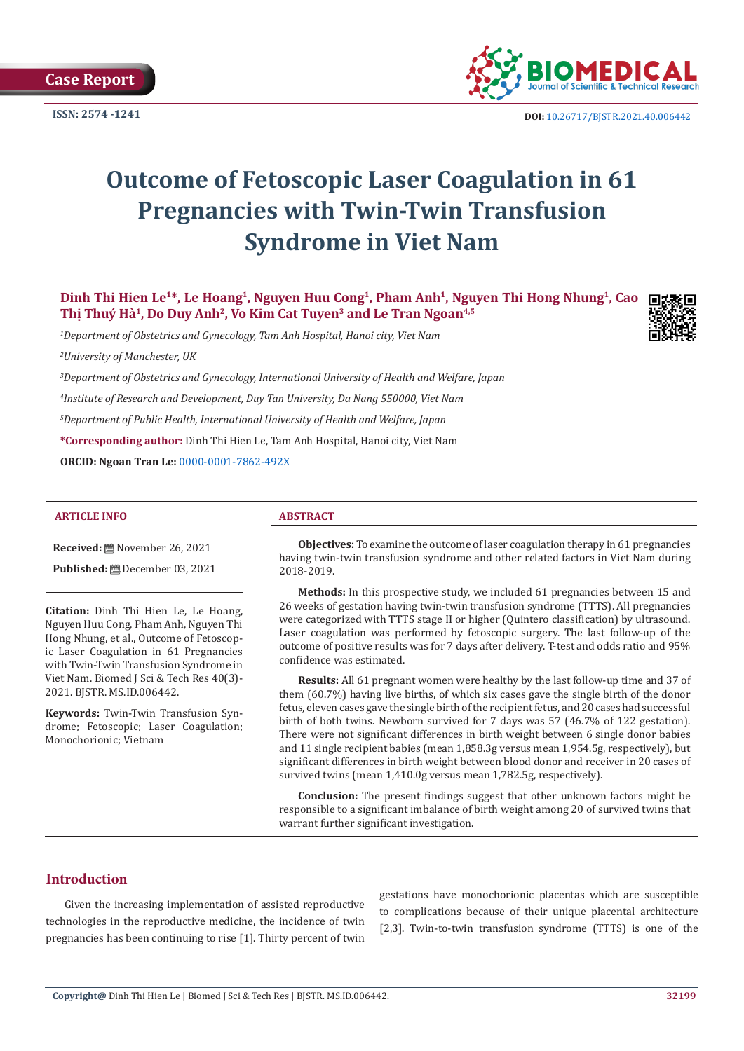**Case Report** 



**ISSN:** 2574 -1241 **DOI:** [10.26717/BJSTR.2021.40.006442](https://dx.doi.org/10.26717/BJSTR.2021.40.006442)

# **Outcome of Fetoscopic Laser Coagulation in 61 Pregnancies with Twin-Twin Transfusion Syndrome in Viet Nam**

**Dinh Thi Hien Le1\*, Le Hoang1, Nguyen Huu Cong1, Pham Anh1, Nguyen Thi Hong Nhung1, Cao**  Thị Thuý Hà<sup>1</sup>, Do Duy Anh<sup>2</sup>, Vo Kim Cat Tuyen<sup>3</sup> and Le Tran Ngoan<sup>4,5</sup>

*1 Department of Obstetrics and Gynecology, Tam Anh Hospital, Hanoi city, Viet Nam*

*2 University of Manchester, UK*

 *Department of Obstetrics and Gynecology, International University of Health and Welfare, Japan Institute of Research and Development, Duy Tan University, Da Nang 550000, Viet Nam Department of Public Health, International University of Health and Welfare, Japan*  **\*Corresponding author:** Dinh Thi Hien Le, Tam Anh Hospital, Hanoi city, Viet Nam

**ORCID: Ngoan Tran Le:** [0000-0001-7862-492X](https://orcid.org/0000-0001-7862-492X)

#### **ARTICLE INFO ABSTRACT**

**Received:** November 26, 2021

**Published:** December 03, 2021

**Citation:** Dinh Thi Hien Le, Le Hoang, Nguyen Huu Cong, Pham Anh, Nguyen Thi Hong Nhung, et al., Outcome of Fetoscopic Laser Coagulation in 61 Pregnancies with Twin-Twin Transfusion Syndrome in Viet Nam. Biomed J Sci & Tech Res 40(3)- 2021. BJSTR. MS.ID.006442.

**Keywords:** Twin-Twin Transfusion Syndrome; Fetoscopic; Laser Coagulation; Monochorionic; Vietnam

**Objectives:** To examine the outcome of laser coagulation therapy in 61 pregnancies having twin-twin transfusion syndrome and other related factors in Viet Nam during 2018-2019.

**Methods:** In this prospective study, we included 61 pregnancies between 15 and 26 weeks of gestation having twin-twin transfusion syndrome (TTTS). All pregnancies were categorized with TTTS stage II or higher (Quintero classification) by ultrasound. Laser coagulation was performed by fetoscopic surgery. The last follow-up of the outcome of positive results was for 7 days after delivery. T-test and odds ratio and 95% confidence was estimated.

**Results:** All 61 pregnant women were healthy by the last follow-up time and 37 of them (60.7%) having live births, of which six cases gave the single birth of the donor fetus, eleven cases gave the single birth of the recipient fetus, and 20 cases had successful birth of both twins. Newborn survived for 7 days was 57 (46.7% of 122 gestation). There were not significant differences in birth weight between 6 single donor babies and 11 single recipient babies (mean 1,858.3g versus mean 1,954.5g, respectively), but significant differences in birth weight between blood donor and receiver in 20 cases of survived twins (mean 1,410.0g versus mean 1,782.5g, respectively).

**Conclusion:** The present findings suggest that other unknown factors might be responsible to a significant imbalance of birth weight among 20 of survived twins that warrant further significant investigation.

# **Introduction**

Given the increasing implementation of assisted reproductive technologies in the reproductive medicine, the incidence of twin pregnancies has been continuing to rise [1]. Thirty percent of twin

gestations have monochorionic placentas which are susceptible to complications because of their unique placental architecture [2,3]. Twin-to-twin transfusion syndrome (TTTS) is one of the

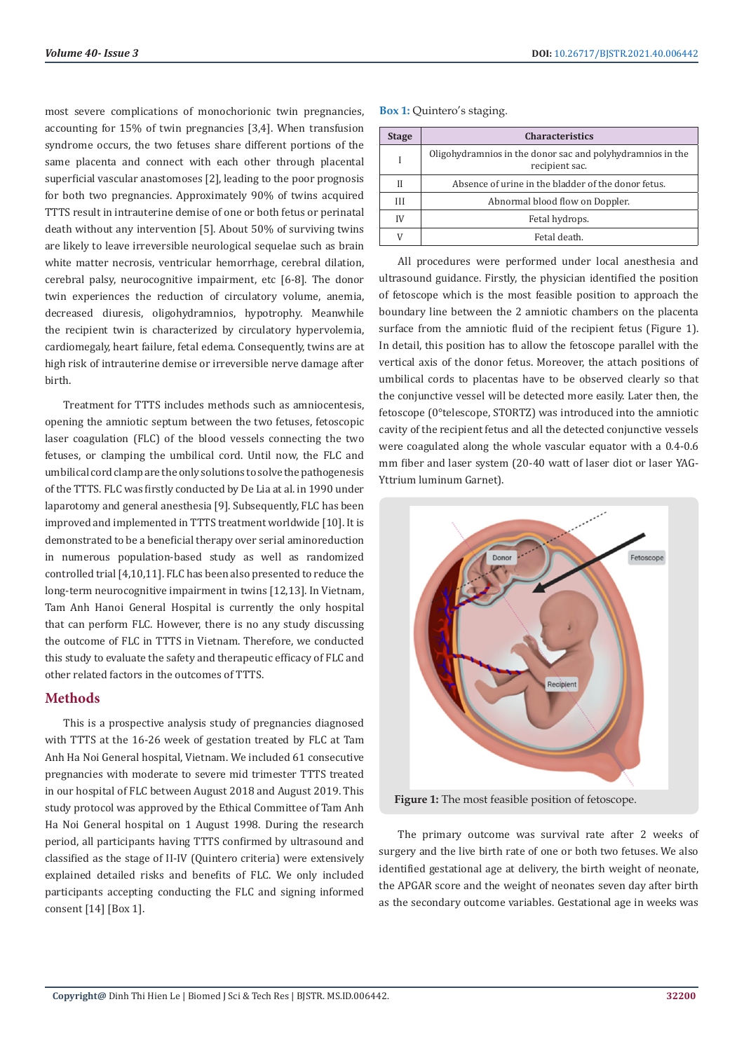most severe complications of monochorionic twin pregnancies, accounting for 15% of twin pregnancies [3,4]. When transfusion syndrome occurs, the two fetuses share different portions of the same placenta and connect with each other through placental superficial vascular anastomoses [2], leading to the poor prognosis for both two pregnancies. Approximately 90% of twins acquired TTTS result in intrauterine demise of one or both fetus or perinatal death without any intervention [5]. About 50% of surviving twins are likely to leave irreversible neurological sequelae such as brain white matter necrosis, ventricular hemorrhage, cerebral dilation, cerebral palsy, neurocognitive impairment, etc [6-8]. The donor twin experiences the reduction of circulatory volume, anemia, decreased diuresis, oligohydramnios, hypotrophy. Meanwhile the recipient twin is characterized by circulatory hypervolemia, cardiomegaly, heart failure, fetal edema. Consequently, twins are at high risk of intrauterine demise or irreversible nerve damage after birth.

Treatment for TTTS includes methods such as amniocentesis, opening the amniotic septum between the two fetuses, fetoscopic laser coagulation (FLC) of the blood vessels connecting the two fetuses, or clamping the umbilical cord. Until now, the FLC and umbilical cord clamp are the only solutions to solve the pathogenesis of the TTTS. FLC was firstly conducted by De Lia at al. in 1990 under laparotomy and general anesthesia [9]. Subsequently, FLC has been improved and implemented in TTTS treatment worldwide [10]. It is demonstrated to be a beneficial therapy over serial aminoreduction in numerous population-based study as well as randomized controlled trial [4,10,11]. FLC has been also presented to reduce the long-term neurocognitive impairment in twins [12,13]. In Vietnam, Tam Anh Hanoi General Hospital is currently the only hospital that can perform FLC. However, there is no any study discussing the outcome of FLC in TTTS in Vietnam. Therefore, we conducted this study to evaluate the safety and therapeutic efficacy of FLC and other related factors in the outcomes of TTTS.

# **Methods**

This is a prospective analysis study of pregnancies diagnosed with TTTS at the 16-26 week of gestation treated by FLC at Tam Anh Ha Noi General hospital, Vietnam. We included 61 consecutive pregnancies with moderate to severe mid trimester TTTS treated in our hospital of FLC between August 2018 and August 2019. This study protocol was approved by the Ethical Committee of Tam Anh Ha Noi General hospital on 1 August 1998. During the research period, all participants having TTTS confirmed by ultrasound and classified as the stage of II-IV (Quintero criteria) were extensively explained detailed risks and benefits of FLC. We only included participants accepting conducting the FLC and signing informed consent [14] [Box 1].

#### **Box 1:** Quintero's staging.

| <b>Stage</b> | <b>Characteristics</b>                                                       |
|--------------|------------------------------------------------------------------------------|
|              | Oligohydramnios in the donor sac and polyhydramnios in the<br>recipient sac. |
| $_{II}$      | Absence of urine in the bladder of the donor fetus.                          |
| III          | Abnormal blood flow on Doppler.                                              |
| IV           | Fetal hydrops.                                                               |
|              | Fetal death.                                                                 |

All procedures were performed under local anesthesia and ultrasound guidance. Firstly, the physician identified the position of fetoscope which is the most feasible position to approach the boundary line between the 2 amniotic chambers on the placenta surface from the amniotic fluid of the recipient fetus (Figure 1). In detail, this position has to allow the fetoscope parallel with the vertical axis of the donor fetus. Moreover, the attach positions of umbilical cords to placentas have to be observed clearly so that the conjunctive vessel will be detected more easily. Later then, the fetoscope (0°telescope, STORTZ) was introduced into the amniotic cavity of the recipient fetus and all the detected conjunctive vessels were coagulated along the whole vascular equator with a 0.4-0.6 mm fiber and laser system (20-40 watt of laser diot or laser YAG-Yttrium luminum Garnet).



**Figure 1:** The most feasible position of fetoscope.

The primary outcome was survival rate after 2 weeks of surgery and the live birth rate of one or both two fetuses. We also identified gestational age at delivery, the birth weight of neonate, the APGAR score and the weight of neonates seven day after birth as the secondary outcome variables. Gestational age in weeks was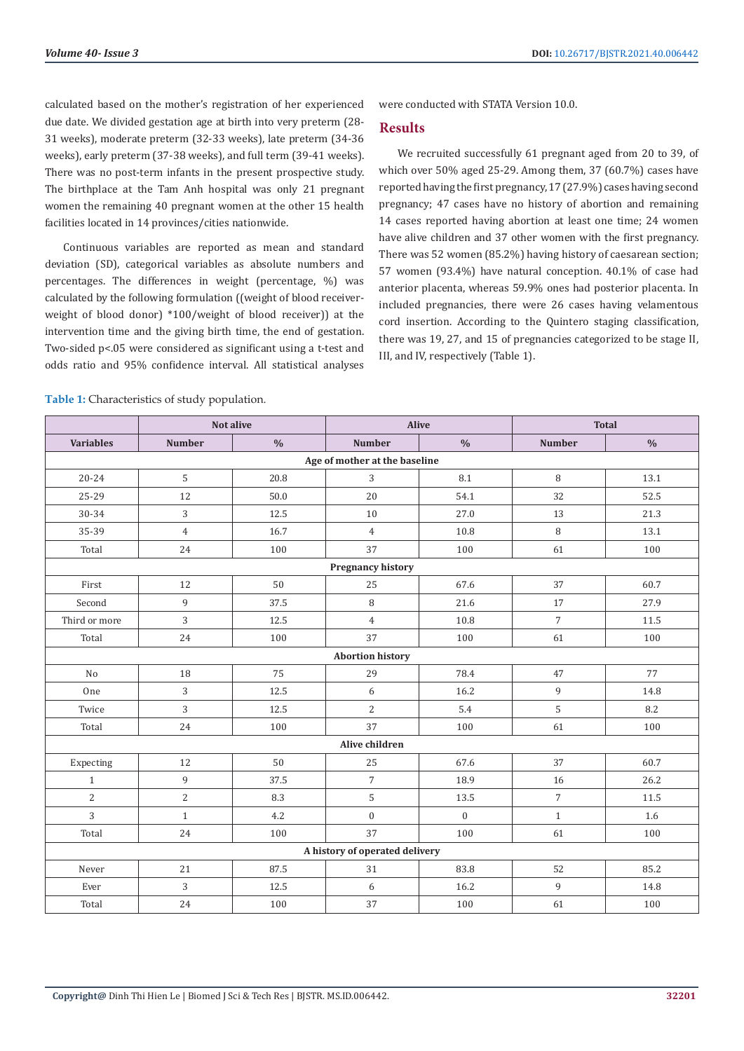calculated based on the mother's registration of her experienced due date. We divided gestation age at birth into very preterm (28- 31 weeks), moderate preterm (32-33 weeks), late preterm (34-36 weeks), early preterm (37-38 weeks), and full term (39-41 weeks). There was no post-term infants in the present prospective study. The birthplace at the Tam Anh hospital was only 21 pregnant women the remaining 40 pregnant women at the other 15 health facilities located in 14 provinces/cities nationwide.

Continuous variables are reported as mean and standard deviation (SD), categorical variables as absolute numbers and percentages. The differences in weight (percentage, %) was calculated by the following formulation ((weight of blood receiverweight of blood donor) \*100/weight of blood receiver)) at the intervention time and the giving birth time, the end of gestation. Two-sided p<.05 were considered as significant using a t-test and odds ratio and 95% confidence interval. All statistical analyses

were conducted with STATA Version 10.0.

#### **Results**

We recruited successfully 61 pregnant aged from 20 to 39, of which over 50% aged 25-29. Among them, 37 (60.7%) cases have reported having the first pregnancy, 17 (27.9%) cases having second pregnancy; 47 cases have no history of abortion and remaining 14 cases reported having abortion at least one time; 24 women have alive children and 37 other women with the first pregnancy. There was 52 women (85.2%) having history of caesarean section; 57 women (93.4%) have natural conception. 40.1% of case had anterior placenta, whereas 59.9% ones had posterior placenta. In included pregnancies, there were 26 cases having velamentous cord insertion. According to the Quintero staging classification, there was 19, 27, and 15 of pregnancies categorized to be stage II, III, and IV, respectively (Table 1).

|                               |                | Not alive     | <b>Alive</b>                   |               |                | <b>Total</b>  |  |  |  |
|-------------------------------|----------------|---------------|--------------------------------|---------------|----------------|---------------|--|--|--|
| <b>Variables</b>              | <b>Number</b>  | $\frac{0}{0}$ | <b>Number</b>                  | $\frac{0}{0}$ | <b>Number</b>  | $\frac{0}{0}$ |  |  |  |
| Age of mother at the baseline |                |               |                                |               |                |               |  |  |  |
| $20 - 24$                     | 5              | 20.8          | 3                              | 8.1           | $\, 8$         | 13.1          |  |  |  |
| 25-29                         | 12             | 50.0          | 20                             | 54.1          | 32             | 52.5          |  |  |  |
| 30-34                         | 3              | 12.5          | 10                             | 27.0          | 13             | 21.3          |  |  |  |
| 35-39                         | $\overline{4}$ | 16.7          | $\overline{4}$                 | 10.8          | 8              | 13.1          |  |  |  |
| Total                         | 24             | 100           | 37                             | 100           | 61             | 100           |  |  |  |
|                               |                |               | <b>Pregnancy history</b>       |               |                |               |  |  |  |
| First                         | 12             | 50            | 25                             | 67.6          | 37             | 60.7          |  |  |  |
| Second                        | 9              | 37.5          | 8                              | 21.6          | 17             | 27.9          |  |  |  |
| Third or more                 | 3              | 12.5          | $\overline{4}$                 | 10.8          | $\overline{7}$ | 11.5          |  |  |  |
| Total                         | 24             | 100           | 37                             | 100           | 61             | 100           |  |  |  |
|                               |                |               | <b>Abortion history</b>        |               |                |               |  |  |  |
| No                            | 18             | 75            | 29                             | 78.4          | 47             | 77            |  |  |  |
| One                           | 3              | 12.5          | 6                              | 16.2          | 9              | 14.8          |  |  |  |
| Twice                         | 3              | 12.5          | 2                              | 5.4           | 5              | 8.2           |  |  |  |
| Total                         | 24             | 100           | 37                             | 100           | 61             | 100           |  |  |  |
|                               |                |               | Alive children                 |               |                |               |  |  |  |
| Expecting                     | 12             | 50            | 25                             | 67.6          | 37             | 60.7          |  |  |  |
| $\mathbf{1}$                  | 9              | 37.5          | $\overline{7}$                 | 18.9          | 16             | 26.2          |  |  |  |
| $\overline{2}$                | $\overline{2}$ | 8.3           | 5                              | 13.5          | $\overline{7}$ | 11.5          |  |  |  |
| 3                             | $\mathbf{1}$   | 4.2           | $\boldsymbol{0}$               | $\mathbf{0}$  | $\mathbf{1}$   | 1.6           |  |  |  |
| Total                         | 24             | 100           | 37                             | 100           | 61             | 100           |  |  |  |
|                               |                |               | A history of operated delivery |               |                |               |  |  |  |
| Never                         | 21             | 87.5          | 31                             | 83.8          | 52             | 85.2          |  |  |  |
| Ever                          | 3              | 12.5          | 6                              | 16.2          | 9              | 14.8          |  |  |  |
| Total                         | 24             | 100           | 37                             | 100           | 61             | 100           |  |  |  |

**Table 1:** Characteristics of study population.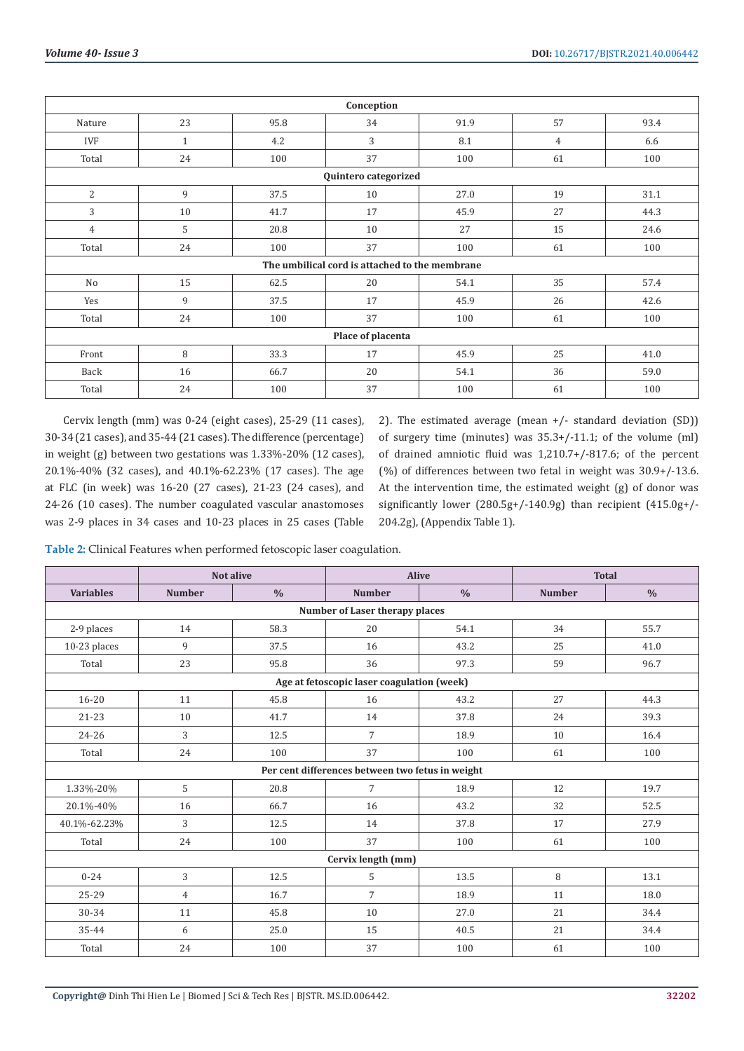|                | Conception        |      |                                                |      |    |      |  |  |  |
|----------------|-------------------|------|------------------------------------------------|------|----|------|--|--|--|
| Nature         | 23                | 95.8 | 34                                             | 91.9 | 57 | 93.4 |  |  |  |
| <b>IVF</b>     | $\mathbf{1}$      | 4.2  | 3                                              | 8.1  | 4  | 6.6  |  |  |  |
| Total          | 24                | 100  | 37                                             | 100  | 61 | 100  |  |  |  |
|                |                   |      | Quintero categorized                           |      |    |      |  |  |  |
| 2              | 9                 | 37.5 | 10                                             | 27.0 | 19 | 31.1 |  |  |  |
| 3              | 10                | 41.7 | 17                                             | 45.9 | 27 | 44.3 |  |  |  |
| $\overline{4}$ | 5                 | 20.8 | 10                                             | 27   | 15 | 24.6 |  |  |  |
| Total          | 24                | 100  | 37                                             | 100  | 61 | 100  |  |  |  |
|                |                   |      | The umbilical cord is attached to the membrane |      |    |      |  |  |  |
| No             | 15                | 62.5 | 20                                             | 54.1 | 35 | 57.4 |  |  |  |
| Yes            | 9                 | 37.5 | 17                                             | 45.9 | 26 | 42.6 |  |  |  |
| Total          | 24                | 100  | 37                                             | 100  | 61 | 100  |  |  |  |
|                | Place of placenta |      |                                                |      |    |      |  |  |  |
| Front          | 8                 | 33.3 | 17                                             | 45.9 | 25 | 41.0 |  |  |  |
| Back           | 16                | 66.7 | 20                                             | 54.1 | 36 | 59.0 |  |  |  |
| Total          | 24                | 100  | 37                                             | 100  | 61 | 100  |  |  |  |

Cervix length (mm) was 0-24 (eight cases), 25-29 (11 cases), 30-34 (21 cases), and 35-44 (21 cases). The difference (percentage) in weight (g) between two gestations was 1.33%-20% (12 cases), 20.1%-40% (32 cases), and 40.1%-62.23% (17 cases). The age at FLC (in week) was 16-20 (27 cases), 21-23 (24 cases), and 24-26 (10 cases). The number coagulated vascular anastomoses was 2-9 places in 34 cases and 10-23 places in 25 cases (Table 2). The estimated average (mean +/- standard deviation (SD)) of surgery time (minutes) was 35.3+/-11.1; of the volume (ml) of drained amniotic fluid was 1,210.7+/-817.6; of the percent (%) of differences between two fetal in weight was 30.9+/-13.6. At the intervention time, the estimated weight (g) of donor was significantly lower (280.5g+/-140.9g) than recipient (415.0g+/- 204.2g), (Appendix Table 1).

**Table 2:** Clinical Features when performed fetoscopic laser coagulation.

|                                |                | <b>Not alive</b> | <b>Alive</b>                                     |               |               | <b>Total</b>  |  |  |
|--------------------------------|----------------|------------------|--------------------------------------------------|---------------|---------------|---------------|--|--|
| <b>Variables</b>               | <b>Number</b>  | $\frac{0}{0}$    | <b>Number</b>                                    | $\frac{0}{0}$ | <b>Number</b> | $\frac{0}{0}$ |  |  |
| Number of Laser therapy places |                |                  |                                                  |               |               |               |  |  |
| 2-9 places                     | 14             | 58.3             | 20                                               | 54.1          | 34            | 55.7          |  |  |
| 10-23 places                   | 9              | 37.5             | 16                                               | 43.2          | 25            | 41.0          |  |  |
| Total                          | 23             | 95.8             | 36                                               | 97.3          | 59            | 96.7          |  |  |
|                                |                |                  | Age at fetoscopic laser coagulation (week)       |               |               |               |  |  |
| $16 - 20$                      | 11             | 45.8             | 16                                               | 43.2          | 27            | 44.3          |  |  |
| $21 - 23$                      | 10             | 41.7             | 14                                               | 37.8          | 24            | 39.3          |  |  |
| 24-26                          | 3              | 12.5             | $\overline{7}$                                   | 18.9          | 10            | 16.4          |  |  |
| Total                          | 24             | 100              | 37                                               | 100           | 61            | 100           |  |  |
|                                |                |                  | Per cent differences between two fetus in weight |               |               |               |  |  |
| 1.33%-20%                      | 5              | 20.8             | $\overline{7}$                                   | 18.9          | 12            | 19.7          |  |  |
| 20.1%-40%                      | 16             | 66.7             | 16                                               | 43.2          | 32            | 52.5          |  |  |
| 40.1%-62.23%                   | 3              | 12.5             | 14                                               | 37.8          | 17            | 27.9          |  |  |
| Total                          | 24             | 100              | 37                                               | 100           | 61            | 100           |  |  |
|                                |                |                  | Cervix length (mm)                               |               |               |               |  |  |
| $0 - 24$                       | 3              | 12.5             | 5                                                | 13.5          | 8             | 13.1          |  |  |
| 25-29                          | $\overline{4}$ | 16.7             | $\overline{7}$                                   | 18.9          | 11            | 18.0          |  |  |
| 30-34                          | 11             | 45.8             | 10                                               | 27.0          | 21            | 34.4          |  |  |
| 35-44                          | 6              | 25.0             | 15                                               | 40.5          | 21            | 34.4          |  |  |
| Total                          | 24             | 100              | 37                                               | 100           | 61            | 100           |  |  |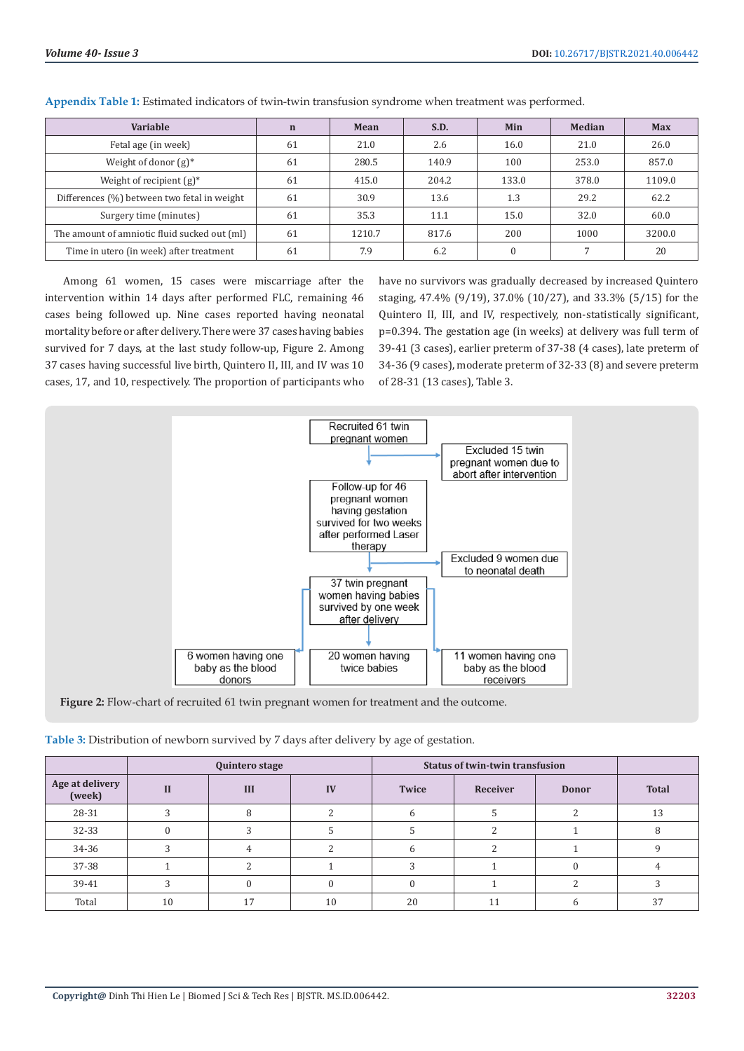| Variable                                     | $\mathbf n$ | Mean   | S.D.  | Min   | Median | <b>Max</b> |
|----------------------------------------------|-------------|--------|-------|-------|--------|------------|
| Fetal age (in week)                          | 61          | 21.0   | 2.6   | 16.0  | 21.0   | 26.0       |
| Weight of donor $(g)^*$                      | 61          | 280.5  | 140.9 | 100   | 253.0  | 857.0      |
| Weight of recipient $(g)^*$                  | 61          | 415.0  | 204.2 | 133.0 | 378.0  | 1109.0     |
| Differences (%) between two fetal in weight  | 61          | 30.9   | 13.6  | 1.3   | 29.2   | 62.2       |
| Surgery time (minutes)                       | 61          | 35.3   | 11.1  | 15.0  | 32.0   | 60.0       |
| The amount of amniotic fluid sucked out (ml) | 61          | 1210.7 | 817.6 | 200   | 1000   | 3200.0     |
| Time in utero (in week) after treatment      | 61          | 7.9    | 6.2   |       |        | 20         |

**Appendix Table 1:** Estimated indicators of twin-twin transfusion syndrome when treatment was performed.

Among 61 women, 15 cases were miscarriage after the intervention within 14 days after performed FLC, remaining 46 cases being followed up. Nine cases reported having neonatal mortality before or after delivery. There were 37 cases having babies survived for 7 days, at the last study follow-up, Figure 2. Among 37 cases having successful live birth, Quintero II, III, and IV was 10 cases, 17, and 10, respectively. The proportion of participants who

have no survivors was gradually decreased by increased Quintero staging, 47.4% (9/19), 37.0% (10/27), and 33.3% (5/15) for the Quintero II, III, and IV, respectively, non-statistically significant, p=0.394. The gestation age (in weeks) at delivery was full term of 39-41 (3 cases), earlier preterm of 37-38 (4 cases), late preterm of 34-36 (9 cases), moderate preterm of 32-33 (8) and severe preterm of 28-31 (13 cases), Table 3.



**Figure 2:** Flow-chart of recruited 61 twin pregnant women for treatment and the outcome.

| Table 3: Distribution of newborn survived by 7 days after delivery by age of gestation. |  |  |  |  |  |  |
|-----------------------------------------------------------------------------------------|--|--|--|--|--|--|
|-----------------------------------------------------------------------------------------|--|--|--|--|--|--|

|                           | Quintero stage |     |    | <b>Status of twin-twin transfusion</b> |          |              |              |
|---------------------------|----------------|-----|----|----------------------------------------|----------|--------------|--------------|
| Age at delivery<br>(week) | Н              | III | IV | Twice                                  | Receiver | <b>Donor</b> | <b>Total</b> |
| 28-31                     |                | C   |    |                                        |          |              | 13           |
| 32-33                     |                |     |    |                                        |          |              |              |
| 34-36                     |                |     |    |                                        |          |              |              |
| 37-38                     |                |     |    |                                        |          |              |              |
| 39-41                     |                |     |    |                                        |          |              |              |
| Total                     | 10             |     | 10 | 20                                     | 11       |              | 37           |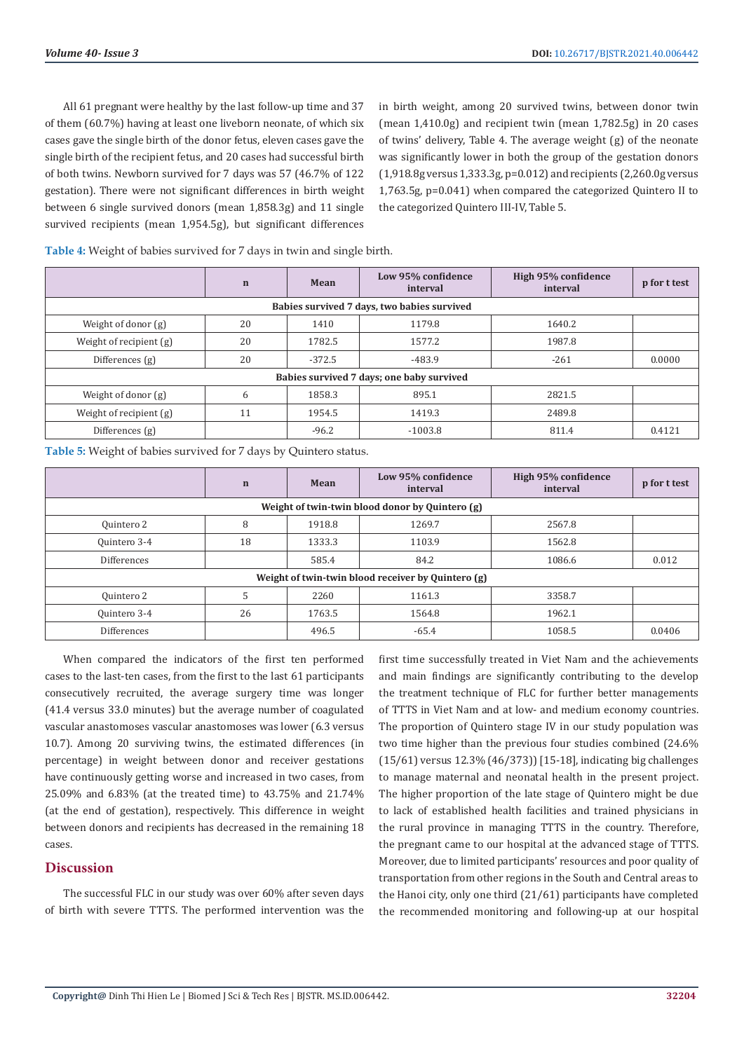All 61 pregnant were healthy by the last follow-up time and 37 of them (60.7%) having at least one liveborn neonate, of which six cases gave the single birth of the donor fetus, eleven cases gave the single birth of the recipient fetus, and 20 cases had successful birth of both twins. Newborn survived for 7 days was 57 (46.7% of 122 gestation). There were not significant differences in birth weight between 6 single survived donors (mean 1,858.3g) and 11 single survived recipients (mean 1,954.5g), but significant differences

in birth weight, among 20 survived twins, between donor twin (mean 1,410.0g) and recipient twin (mean 1,782.5g) in 20 cases of twins' delivery, Table 4. The average weight (g) of the neonate was significantly lower in both the group of the gestation donors (1,918.8g versus 1,333.3g, p=0.012) and recipients (2,260.0g versus 1,763.5g, p=0.041) when compared the categorized Quintero II to the categorized Quintero III-IV, Table 5.

**Table 4:** Weight of babies survived for 7 days in twin and single birth.

|                                             | $\mathbf n$ | Mean     | Low 95% confidence<br>interval            | High 95% confidence<br>interval | p for t test |  |  |  |
|---------------------------------------------|-------------|----------|-------------------------------------------|---------------------------------|--------------|--|--|--|
| Babies survived 7 days, two babies survived |             |          |                                           |                                 |              |  |  |  |
| Weight of donor (g)                         | 20          | 1410     | 1179.8                                    | 1640.2                          |              |  |  |  |
| Weight of recipient $(g)$                   | 20          | 1782.5   | 1577.2                                    | 1987.8                          |              |  |  |  |
| Differences $(g)$                           | 20          | $-372.5$ | $-483.9$                                  | $-261$                          | 0.0000       |  |  |  |
|                                             |             |          | Babies survived 7 days; one baby survived |                                 |              |  |  |  |
| Weight of donor (g)                         | 6           | 1858.3   | 895.1                                     | 2821.5                          |              |  |  |  |
| Weight of recipient $(g)$                   | 11          | 1954.5   | 1419.3                                    | 2489.8                          |              |  |  |  |
| Differences $(g)$                           |             | $-96.2$  | $-1003.8$                                 | 811.4                           | 0.4121       |  |  |  |

**Table 5:** Weight of babies survived for 7 days by Quintero status.

|                                                 | $\mathbf n$                                        | Mean   | Low 95% confidence<br>interval | High 95% confidence<br>interval | p for t test |  |  |  |
|-------------------------------------------------|----------------------------------------------------|--------|--------------------------------|---------------------------------|--------------|--|--|--|
| Weight of twin-twin blood donor by Quintero (g) |                                                    |        |                                |                                 |              |  |  |  |
| Quintero 2                                      | 8                                                  | 1918.8 | 1269.7                         | 2567.8                          |              |  |  |  |
| Quintero 3-4                                    | 18                                                 | 1333.3 | 1103.9                         | 1562.8                          |              |  |  |  |
| Differences                                     |                                                    | 585.4  | 84.2                           | 1086.6                          | 0.012        |  |  |  |
|                                                 | Weight of twin-twin blood receiver by Quintero (g) |        |                                |                                 |              |  |  |  |
| Quintero 2                                      | 5                                                  | 2260   | 1161.3                         | 3358.7                          |              |  |  |  |
| Quintero 3-4                                    | 26                                                 | 1763.5 | 1564.8                         | 1962.1                          |              |  |  |  |
| <b>Differences</b>                              |                                                    | 496.5  | $-65.4$                        | 1058.5                          | 0.0406       |  |  |  |

When compared the indicators of the first ten performed cases to the last-ten cases, from the first to the last 61 participants consecutively recruited, the average surgery time was longer (41.4 versus 33.0 minutes) but the average number of coagulated vascular anastomoses vascular anastomoses was lower (6.3 versus 10.7). Among 20 surviving twins, the estimated differences (in percentage) in weight between donor and receiver gestations have continuously getting worse and increased in two cases, from 25.09% and 6.83% (at the treated time) to 43.75% and 21.74% (at the end of gestation), respectively. This difference in weight between donors and recipients has decreased in the remaining 18 cases.

#### **Discussion**

The successful FLC in our study was over 60% after seven days of birth with severe TTTS. The performed intervention was the

first time successfully treated in Viet Nam and the achievements and main findings are significantly contributing to the develop the treatment technique of FLC for further better managements of TTTS in Viet Nam and at low- and medium economy countries. The proportion of Quintero stage IV in our study population was two time higher than the previous four studies combined (24.6% (15/61) versus 12.3% (46/373)) [15-18], indicating big challenges to manage maternal and neonatal health in the present project. The higher proportion of the late stage of Quintero might be due to lack of established health facilities and trained physicians in the rural province in managing TTTS in the country. Therefore, the pregnant came to our hospital at the advanced stage of TTTS. Moreover, due to limited participants' resources and poor quality of transportation from other regions in the South and Central areas to the Hanoi city, only one third (21/61) participants have completed the recommended monitoring and following-up at our hospital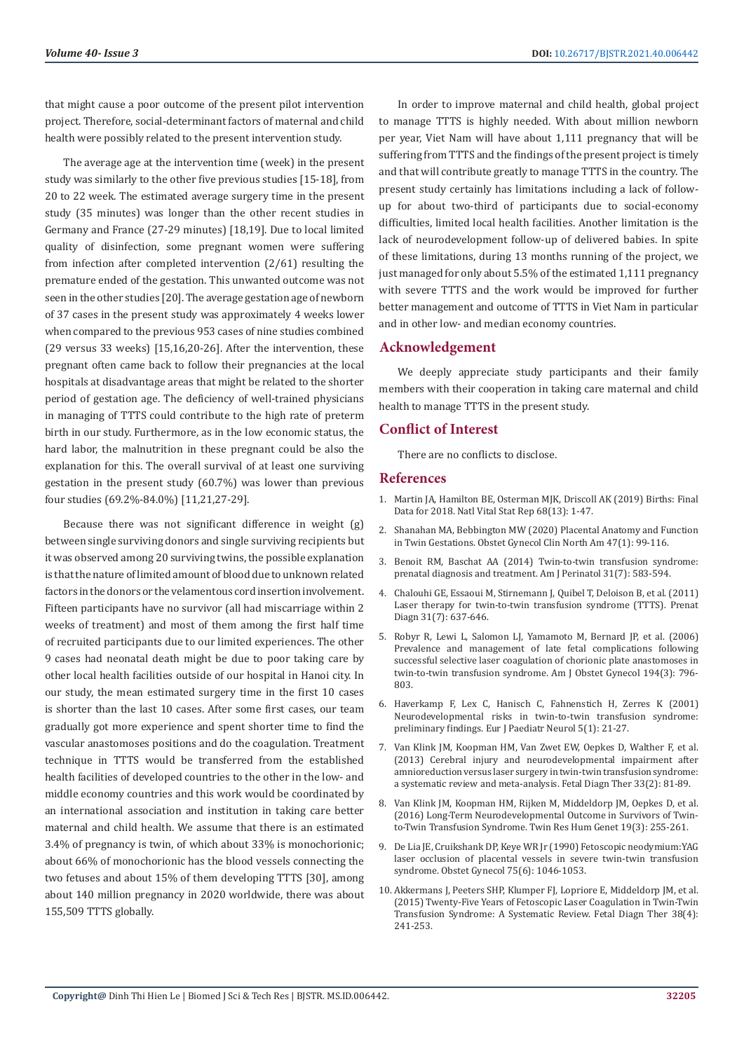that might cause a poor outcome of the present pilot intervention project. Therefore, social-determinant factors of maternal and child health were possibly related to the present intervention study.

The average age at the intervention time (week) in the present study was similarly to the other five previous studies [15-18], from 20 to 22 week. The estimated average surgery time in the present study (35 minutes) was longer than the other recent studies in Germany and France (27-29 minutes) [18,19]. Due to local limited quality of disinfection, some pregnant women were suffering from infection after completed intervention (2/61) resulting the premature ended of the gestation. This unwanted outcome was not seen in the other studies [20]. The average gestation age of newborn of 37 cases in the present study was approximately 4 weeks lower when compared to the previous 953 cases of nine studies combined (29 versus 33 weeks) [15,16,20-26]. After the intervention, these pregnant often came back to follow their pregnancies at the local hospitals at disadvantage areas that might be related to the shorter period of gestation age. The deficiency of well-trained physicians in managing of TTTS could contribute to the high rate of preterm birth in our study. Furthermore, as in the low economic status, the hard labor, the malnutrition in these pregnant could be also the explanation for this. The overall survival of at least one surviving gestation in the present study (60.7%) was lower than previous four studies (69.2%-84.0%) [11,21,27-29].

Because there was not significant difference in weight (g) between single surviving donors and single surviving recipients but it was observed among 20 surviving twins, the possible explanation is that the nature of limited amount of blood due to unknown related factors in the donors or the velamentous cord insertion involvement. Fifteen participants have no survivor (all had miscarriage within 2 weeks of treatment) and most of them among the first half time of recruited participants due to our limited experiences. The other 9 cases had neonatal death might be due to poor taking care by other local health facilities outside of our hospital in Hanoi city. In our study, the mean estimated surgery time in the first 10 cases is shorter than the last 10 cases. After some first cases, our team gradually got more experience and spent shorter time to find the vascular anastomoses positions and do the coagulation. Treatment technique in TTTS would be transferred from the established health facilities of developed countries to the other in the low- and middle economy countries and this work would be coordinated by an international association and institution in taking care better maternal and child health. We assume that there is an estimated 3.4% of pregnancy is twin, of which about 33% is monochorionic; about 66% of monochorionic has the blood vessels connecting the two fetuses and about 15% of them developing TTTS [30], among about 140 million pregnancy in 2020 worldwide, there was about 155,509 TTTS globally.

In order to improve maternal and child health, global project to manage TTTS is highly needed. With about million newborn per year, Viet Nam will have about 1,111 pregnancy that will be suffering from TTTS and the findings of the present project is timely and that will contribute greatly to manage TTTS in the country. The present study certainly has limitations including a lack of followup for about two-third of participants due to social-economy difficulties, limited local health facilities. Another limitation is the lack of neurodevelopment follow-up of delivered babies. In spite of these limitations, during 13 months running of the project, we just managed for only about 5.5% of the estimated 1,111 pregnancy with severe TTTS and the work would be improved for further better management and outcome of TTTS in Viet Nam in particular and in other low- and median economy countries.

## **Acknowledgement**

We deeply appreciate study participants and their family members with their cooperation in taking care maternal and child health to manage TTTS in the present study.

## **Conflict of Interest**

There are no conflicts to disclose.

#### **References**

- 1. [Martin JA, Hamilton BE, Osterman MJK, Driscoll AK \(2019\) Births: Final](https://pubmed.ncbi.nlm.nih.gov/32501202/) [Data for 2018. Natl Vital Stat Rep 68\(13\): 1-47.](https://pubmed.ncbi.nlm.nih.gov/32501202/)
- 2. [Shanahan MA, Bebbington MW \(2020\) Placental Anatomy and Function](https://pubmed.ncbi.nlm.nih.gov/32008674/) [in Twin Gestations. Obstet Gynecol Clin North Am 47\(1\): 99-116.](https://pubmed.ncbi.nlm.nih.gov/32008674/)
- 3. [Benoit RM, Baschat AA \(2014\) Twin-to-twin transfusion syndrome:](https://pubmed.ncbi.nlm.nih.gov/24858318/) [prenatal diagnosis and treatment. Am J Perinatol 31\(7\): 583-594.](https://pubmed.ncbi.nlm.nih.gov/24858318/)
- 4. [Chalouhi GE, Essaoui M, Stirnemann J, Quibel T, Deloison B, et al. \(2011\)](https://pubmed.ncbi.nlm.nih.gov/21660997/) [Laser therapy for twin-to-twin transfusion syndrome \(TTTS\). Prenat](https://pubmed.ncbi.nlm.nih.gov/21660997/) [Diagn 31\(7\): 637-646.](https://pubmed.ncbi.nlm.nih.gov/21660997/)
- 5. [Robyr R, Lewi L, Salomon LJ, Yamamoto M, Bernard JP, et al. \(2006\)](https://pubmed.ncbi.nlm.nih.gov/16522415/) [Prevalence and management of late fetal complications following](https://pubmed.ncbi.nlm.nih.gov/16522415/) [successful selective laser coagulation of chorionic plate anastomoses in](https://pubmed.ncbi.nlm.nih.gov/16522415/) [twin-to-twin transfusion syndrome. Am J Obstet Gynecol 194\(3\): 796-](https://pubmed.ncbi.nlm.nih.gov/16522415/) [803.](https://pubmed.ncbi.nlm.nih.gov/16522415/)
- 6. [Haverkamp F, Lex C, Hanisch C, Fahnenstich H, Zerres K \(2001\)](https://pubmed.ncbi.nlm.nih.gov/11277360/) [Neurodevelopmental risks in twin-to-twin transfusion syndrome:](https://pubmed.ncbi.nlm.nih.gov/11277360/) [preliminary findings. Eur J Paediatr Neurol 5\(1\): 21-27.](https://pubmed.ncbi.nlm.nih.gov/11277360/)
- 7. [Van Klink JM, Koopman HM, Van Zwet EW, Oepkes D, Walther F, et al.](https://pubmed.ncbi.nlm.nih.gov/22922370/) [\(2013\) Cerebral injury and neurodevelopmental impairment after](https://pubmed.ncbi.nlm.nih.gov/22922370/) [amnioreduction versus laser surgery in twin-twin transfusion syndrome:](https://pubmed.ncbi.nlm.nih.gov/22922370/) [a systematic review and meta-analysis. Fetal Diagn Ther 33\(2\): 81-89.](https://pubmed.ncbi.nlm.nih.gov/22922370/)
- 8. [Van Klink JM, Koopman HM, Rijken M, Middeldorp JM, Oepkes D, et al.](https://pubmed.ncbi.nlm.nih.gov/27137794/) [\(2016\) Long-Term Neurodevelopmental Outcome in Survivors of Twin](https://pubmed.ncbi.nlm.nih.gov/27137794/)[to-Twin Transfusion Syndrome. Twin Res Hum Genet 19\(3\): 255-261.](https://pubmed.ncbi.nlm.nih.gov/27137794/)
- 9. [De Lia JE, Cruikshank DP, Keye WR Jr \(1990\) Fetoscopic neodymium:YAG](https://pubmed.ncbi.nlm.nih.gov/2342732/) [laser occlusion of placental vessels in severe twin-twin transfusion](https://pubmed.ncbi.nlm.nih.gov/2342732/) [syndrome. Obstet Gynecol 75\(6\): 1046-1053.](https://pubmed.ncbi.nlm.nih.gov/2342732/)
- 10. [Akkermans J, Peeters SHP, Klumper FJ, Lopriore E, Middeldorp JM, et al.](https://pubmed.ncbi.nlm.nih.gov/26278319/) [\(2015\) Twenty-Five Years of Fetoscopic Laser Coagulation in Twin-Twin](https://pubmed.ncbi.nlm.nih.gov/26278319/) [Transfusion Syndrome: A Systematic Review. Fetal Diagn Ther 38\(4\):](https://pubmed.ncbi.nlm.nih.gov/26278319/) [241-253.](https://pubmed.ncbi.nlm.nih.gov/26278319/)